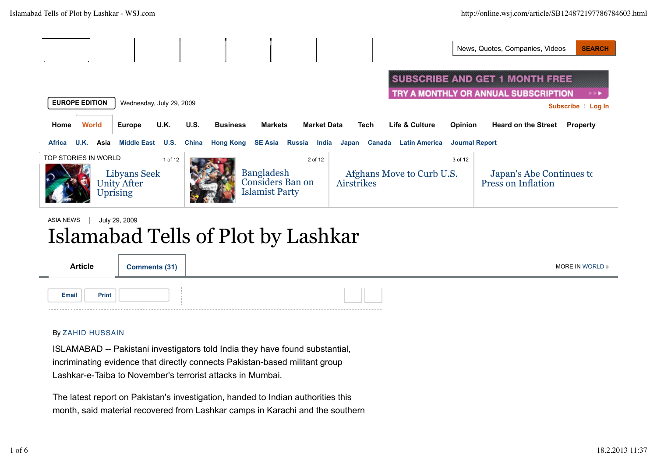News, Quotes, Companies, Videos **SEARCH** 

**SUBSCRIBE AND GET 1 MONTH FREE** TRY A MONTHLY OR ANNUAL SUBSCRIPTION **Subscribe Log In EUROPE EDITION** Wednesday, July 29, 2009 **Home World Europe U.K. U.S. Business Markets Market Data Tech Life & Culture Opinion Heard on the Street Property Africa U.K. Asia Middle East U.S. China Hong Kong SE Asia Russia India Japan Canada Latin America Journal Report** TOP STORIES IN WORLD 1 of 12 2 of 12  $\parallel$  3 of 12 Bangladesh Libyans Seek Afghans Move to Curb U.S. Japan's Abe Continues to Considers Ban on Press on Inflation Unity After Airstrikes Islamist Party Uprising ASIA NEWS | July 29, 2009

# Islamabad Tells of Plot by Lashkar

| <b>Article</b> | Comments (31) | MORE IN WORLD » |
|----------------|---------------|-----------------|
| Email<br>Print |               |                 |

#### By ZAHID HUSSAIN

ISLAMABAD -- Pakistani investigators told India they have found substantial, incriminating evidence that directly connects Pakistan-based militant group Lashkar-e-Taiba to November's terrorist attacks in Mumbai.

The latest report on Pakistan's investigation, handed to Indian authorities this month, said material recovered from Lashkar camps in Karachi and the southern